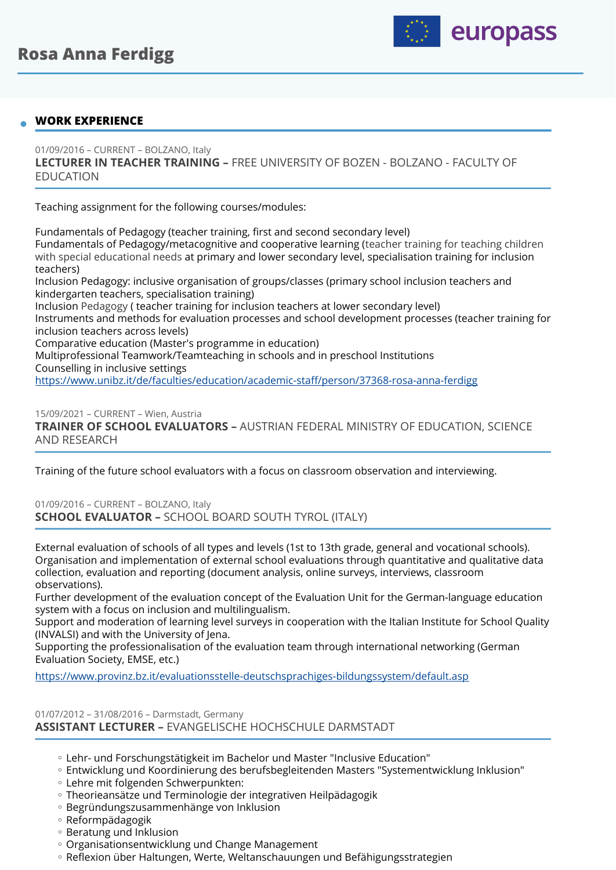

## **WORK EXPERIENCE**

01/09/2016 – CURRENT – BOLZANO, Italy **LECTURER IN TEACHER TRAINING –** FREE UNIVERSITY OF BOZEN - BOLZANO - FACULTY OF EDUCATION

Teaching assignment for the following courses/modules:

Fundamentals of Pedagogy (teacher training, first and second secondary level) Fundamentals of Pedagogy/metacognitive and cooperative learning (teacher training for teaching children with special educational needs at primary and lower secondary level, specialisation training for inclusion teachers) Inclusion Pedagogy: inclusive organisation of groups/classes (primary school inclusion teachers and kindergarten teachers, specialisation training) Inclusion Pedagogy ( teacher training for inclusion teachers at lower secondary level) Instruments and methods for evaluation processes and school development processes (teacher training for inclusion teachers across levels) Comparative education (Master's programme in education) Multiprofessional Teamwork/Teamteaching in schools and in preschool Institutions Counselling in inclusive settings

[https://www.unibz.it/de/faculties/education/academic-sta](https://www.unibz.it/de/faculties/education/academic-staff/person/37368-rosa-anna-ferdigg)ff/person/37368-rosa-anna-ferdigg

15/09/2021 – CURRENT – Wien, Austria **TRAINER OF SCHOOL EVALUATORS –** AUSTRIAN FEDERAL MINISTRY OF EDUCATION, SCIENCE AND RESEARCH

Training of the future school evaluators with a focus on classroom observation and interviewing.

01/09/2016 – CURRENT – BOLZANO, Italy **SCHOOL EVALUATOR –** SCHOOL BOARD SOUTH TYROL (ITALY)

External evaluation of schools of all types and levels (1st to 13th grade, general and vocational schools). Organisation and implementation of external school evaluations through quantitative and qualitative data collection, evaluation and reporting (document analysis, online surveys, interviews, classroom observations).

Further development of the evaluation concept of the Evaluation Unit for the German-language education system with a focus on inclusion and multilingualism.

Support and moderation of learning level surveys in cooperation with the Italian Institute for School Quality (INVALSI) and with the University of Jena.

Supporting the professionalisation of the evaluation team through international networking (German Evaluation Society, EMSE, etc.)

<https://www.provinz.bz.it/evaluationsstelle-deutschsprachiges-bildungssystem/default.asp>

#### 01/07/2012 – 31/08/2016 – Darmstadt, Germany **ASSISTANT LECTURER –** EVANGELISCHE HOCHSCHULE DARMSTADT

- Lehr- und Forschungstätigkeit im Bachelor und Master "Inclusive Education" ◦
- Entwicklung und Koordinierung des berufsbegleitenden Masters "Systementwicklung Inklusion" ◦
- Lehre mit folgenden Schwerpunkten: ◦
- Theorieansätze und Terminologie der integrativen Heilpädagogik ◦
- Begründungszusammenhänge von Inklusion ◦
- Reformpädagogik ◦
- Beratung und Inklusion
- Organisationsentwicklung und Change Management ◦
- Reflexion über Haltungen, Werte, Weltanschauungen und Befähigungsstrategien ◦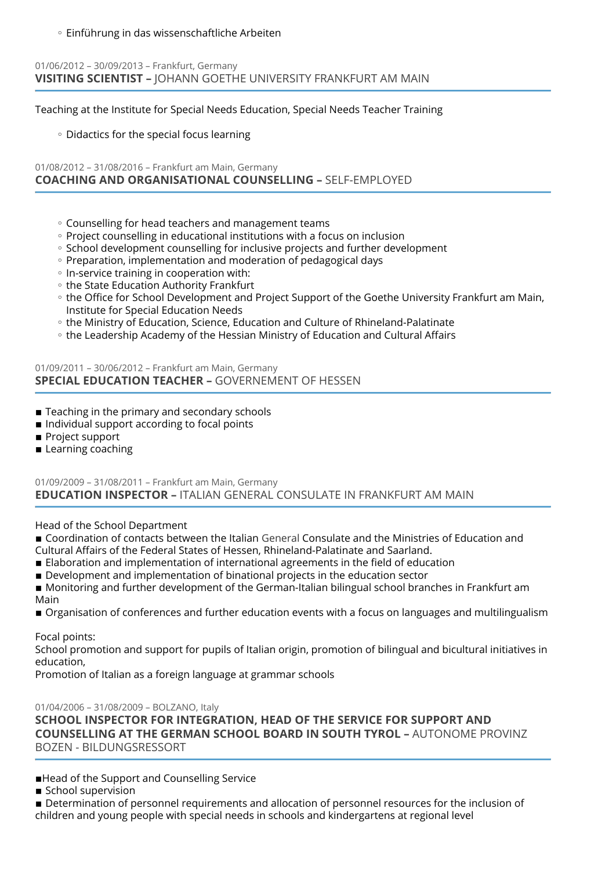◦ Einführung in das wissenschaftliche Arbeiten

## 01/06/2012 – 30/09/2013 – Frankfurt, Germany **VISITING SCIENTIST –** JOHANN GOETHE UNIVERSITY FRANKFURT AM MAIN

Teaching at the Institute for Special Needs Education, Special Needs Teacher Training

◦ Didactics for the special focus learning

## 01/08/2012 – 31/08/2016 – Frankfurt am Main, Germany **COACHING AND ORGANISATIONAL COUNSELLING –** SELF-EMPLOYED

- Counselling for head teachers and management teams ◦
- Project counselling in educational institutions with a focus on inclusion
- School development counselling for inclusive projects and further development
- Preparation, implementation and moderation of pedagogical days
- In-service training in cooperation with:
- the State Education Authority Frankfurt
- the Office for School Development and Project Support of the Goethe University Frankfurt am Main, Institute for Special Education Needs
- the Ministry of Education, Science, Education and Culture of Rhineland-Palatinate ◦
- the Leadership Academy of the Hessian Ministry of Education and Cultural Affairs ◦

### 01/09/2011 – 30/06/2012 – Frankfurt am Main, Germany **SPECIAL EDUCATION TEACHER –** GOVERNEMENT OF HESSEN

- $\blacksquare$  Teaching in the primary and secondary schools
- Individual support according to focal points
- Project support
- **E** Learning coaching

## 01/09/2009 – 31/08/2011 – Frankfurt am Main, Germany **EDUCATION INSPECTOR –** ITALIAN GENERAL CONSULATE IN FRANKFURT AM MAIN

Head of the School Department

■ Coordination of contacts between the Italian General Consulate and the Ministries of Education and Cultural Affairs of the Federal States of Hessen, Rhineland-Palatinate and Saarland.

- Elaboration and implementation of international agreements in the field of education
- **Development and implementation of binational projects in the education sector**
- Monitoring and further development of the German-Italian bilingual school branches in Frankfurt am Main
- **•** Organisation of conferences and further education events with a focus on languages and multilingualism

Focal points:

School promotion and support for pupils of Italian origin, promotion of bilingual and bicultural initiatives in education,

Promotion of Italian as a foreign language at grammar schools

01/04/2006 – 31/08/2009 – BOLZANO, Italy

**SCHOOL INSPECTOR FOR INTEGRATION, HEAD OF THE SERVICE FOR SUPPORT AND COUNSELLING AT THE GERMAN SCHOOL BOARD IN SOUTH TYROL –** AUTONOME PROVINZ BOZEN - BILDUNGSRESSORT

- ■Head of the Support and Counselling Service
- School supervision
- **Determination of personnel requirements and allocation of personnel resources for the inclusion of** children and young people with special needs in schools and kindergartens at regional level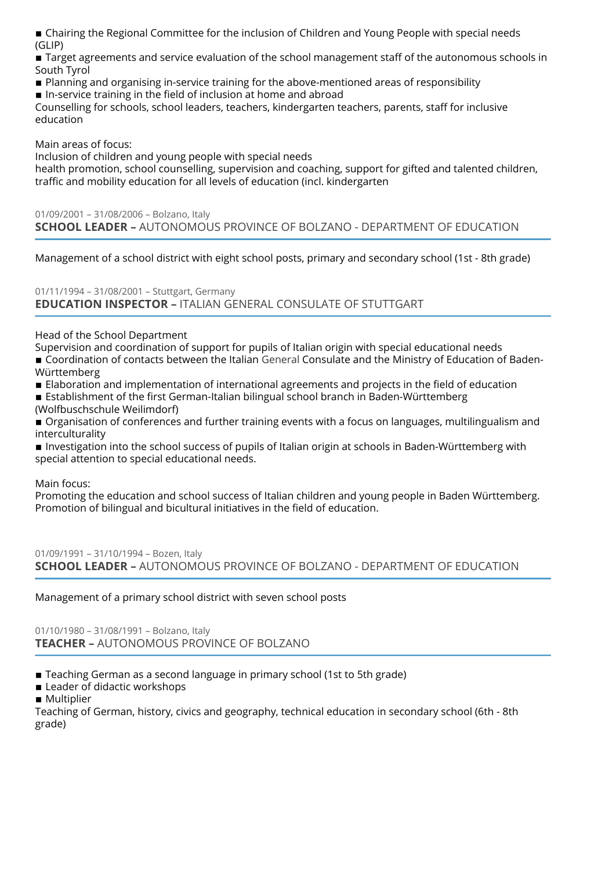■ Chairing the Regional Committee for the inclusion of Children and Young People with special needs (GLIP)

**Target agreements and service evaluation of the school management staff of the autonomous schools in** South Tyrol

- Planning and organising in-service training for the above-mentioned areas of responsibility
- In-service training in the field of inclusion at home and abroad

Counselling for schools, school leaders, teachers, kindergarten teachers, parents, staff for inclusive education

Main areas of focus:

Inclusion of children and young people with special needs

health promotion, school counselling, supervision and coaching, support for gifted and talented children, traffic and mobility education for all levels of education (incl. kindergarten

01/09/2001 – 31/08/2006 – Bolzano, Italy **SCHOOL LEADER –** AUTONOMOUS PROVINCE OF BOLZANO - DEPARTMENT OF EDUCATION

Management of a school district with eight school posts, primary and secondary school (1st - 8th grade)

01/11/1994 – 31/08/2001 – Stuttgart, Germany **EDUCATION INSPECTOR –** ITALIAN GENERAL CONSULATE OF STUTTGART

Head of the School Department

Supervision and coordination of support for pupils of Italian origin with special educational needs

■ Coordination of contacts between the Italian General Consulate and the Ministry of Education of Baden-Württemberg

- **Elaboration and implementation of international agreements and projects in the field of education**
- **Establishment of the first German-Italian bilingual school branch in Baden-Württemberg** (Wolfbuschschule Weilimdorf)

**•** Organisation of conferences and further training events with a focus on languages, multilingualism and interculturality

**Investigation into the school success of pupils of Italian origin at schools in Baden-Württemberg with** special attention to special educational needs.

Main focus:

Promoting the education and school success of Italian children and young people in Baden Württemberg. Promotion of bilingual and bicultural initiatives in the field of education.

01/09/1991 – 31/10/1994 – Bozen, Italy **SCHOOL LEADER –** AUTONOMOUS PROVINCE OF BOLZANO - DEPARTMENT OF EDUCATION

Management of a primary school district with seven school posts

01/10/1980 – 31/08/1991 – Bolzano, Italy **TEACHER –** AUTONOMOUS PROVINCE OF BOLZANO

■ Teaching German as a second language in primary school (1st to 5th grade)

- **E** Leader of didactic workshops
- Multiplier

Teaching of German, history, civics and geography, technical education in secondary school (6th - 8th grade)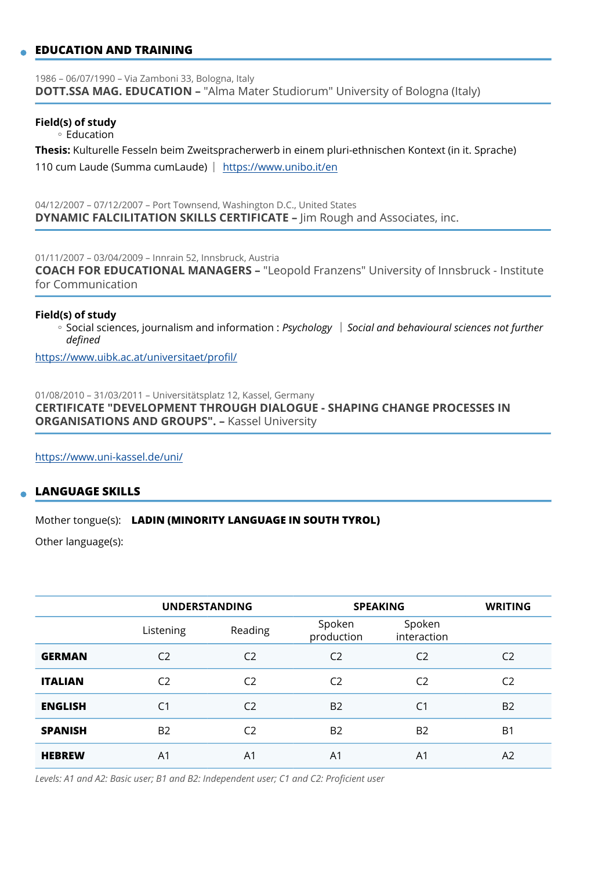## **EDUCATION AND TRAINING**

1986 – 06/07/1990 – Via Zamboni 33, Bologna, Italy **DOTT.SSA MAG. EDUCATION –** "Alma Mater Studiorum" University of Bologna (Italy)

#### **Field(s) of study**

◦ Education

**Thesis:** Kulturelle Fesseln beim Zweitspracherwerb in einem pluri-ethnischen Kontext (in it. Sprache) 110 cum Laude (Summa cumLaude) <https://www.unibo.it/en>

04/12/2007 – 07/12/2007 – Port Townsend, Washington D.C., United States **DYNAMIC FALCILITATION SKILLS CERTIFICATE –** Jim Rough and Associates, inc.

01/11/2007 – 03/04/2009 – Innrain 52, Innsbruck, Austria

**COACH FOR EDUCATIONAL MANAGERS –** "Leopold Franzens" University of Innsbruck - Institute for Communication

#### **Field(s) of study**

◦ Social sciences, journalism and information : *Psychology ∣ Social and behavioural sciences not further defined* 

[https://www.uibk.ac.at/universitaet/pro](https://www.uibk.ac.at/universitaet/profil/)fil/

01/08/2010 – 31/03/2011 – Universitätsplatz 12, Kassel, Germany **CERTIFICATE "DEVELOPMENT THROUGH DIALOGUE - SHAPING CHANGE PROCESSES IN ORGANISATIONS AND GROUPS". –** Kassel University

<https://www.uni-kassel.de/uni/>

### **LANGUAGE SKILLS**

#### Mother tongue(s): **LADIN (MINORITY LANGUAGE IN SOUTH TYROL)**

Other language(s):

|                | <b>UNDERSTANDING</b> |                | <b>SPEAKING</b>      |                       | <b>WRITING</b> |
|----------------|----------------------|----------------|----------------------|-----------------------|----------------|
|                | Listening            | Reading        | Spoken<br>production | Spoken<br>interaction |                |
| <b>GERMAN</b>  | C <sub>2</sub>       | C <sub>2</sub> | C <sub>2</sub>       | C <sub>2</sub>        | C <sub>2</sub> |
| <b>ITALIAN</b> | C <sub>2</sub>       | C <sub>2</sub> | C <sub>2</sub>       | C <sub>2</sub>        | C <sub>2</sub> |
| <b>ENGLISH</b> | C <sub>1</sub>       | C <sub>2</sub> | <b>B2</b>            | C <sub>1</sub>        | B <sub>2</sub> |
| <b>SPANISH</b> | <b>B2</b>            | C <sub>2</sub> | B <sub>2</sub>       | B <sub>2</sub>        | B <sub>1</sub> |
| <b>HEBREW</b>  | A <sub>1</sub>       | A1             | A <sub>1</sub>       | A <sub>1</sub>        | A2             |

*Levels: A1 and A2: Basic user; B1 and B2: Independent user; C1 and C2: Proficient user*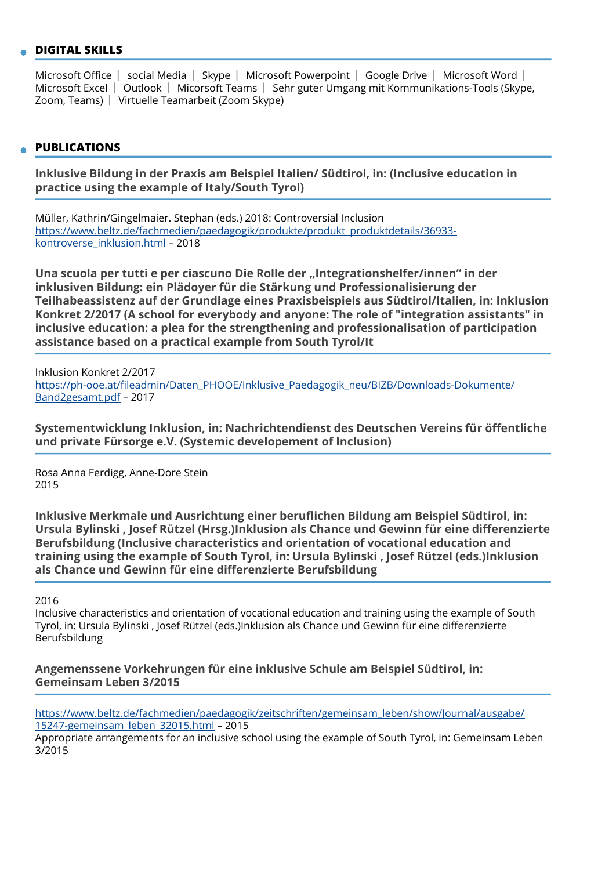### **DIGITAL SKILLS**

Microsoft Office Social Media Skype Microsoft Powerpoint Google Drive Microsoft Word S Microsoft Excel | Outlook | Micorsoft Teams | Sehr guter Umgang mit Kommunikations-Tools (Skype, Zoom, Teams) | Virtuelle Teamarbeit (Zoom Skype)

## **PUBLICATIONS**

**Inklusive Bildung in der Praxis am Beispiel Italien/ Südtirol, in: (Inclusive education in practice using the example of Italy/South Tyrol)** 

Müller, Kathrin/Gingelmaier. Stephan (eds.) 2018: Controversial Inclusion [https://www.beltz.de/fachmedien/paedagogik/produkte/produkt\\_produktdetails/36933](https://www.beltz.de/fachmedien/paedagogik/produkte/produkt_produktdetails/36933-kontroverse_inklusion.html) [kontroverse\\_inklusion.html](https://www.beltz.de/fachmedien/paedagogik/produkte/produkt_produktdetails/36933-kontroverse_inklusion.html) – 2018

**Una scuola per tutti e per ciascuno Die Rolle der "Integrationshelfer/innen" in der inklusiven Bildung: ein Plädoyer für die Stärkung und Professionalisierung der Teilhabeassistenz auf der Grundlage eines Praxisbeispiels aus Südtirol/Italien, in: Inklusion Konkret 2/2017 (A school for everybody and anyone: The role of "integration assistants" in inclusive education: a plea for the strengthening and professionalisation of participation assistance based on a practical example from South Tyrol/It** 

Inklusion Konkret 2/2017 https://ph-ooe.at/fi[leadmin/Daten\\_PHOOE/Inklusive\\_Paedagogik\\_neu/BIZB/Downloads-Dokumente/](https://ph-ooe.at/fileadmin/Daten_PHOOE/Inklusive_Paedagogik_neu/BIZB/Downloads-Dokumente/Band2gesamt.pdf) [Band2gesamt.pdf](https://ph-ooe.at/fileadmin/Daten_PHOOE/Inklusive_Paedagogik_neu/BIZB/Downloads-Dokumente/Band2gesamt.pdf) – 2017

**Systementwicklung Inklusion, in: Nachrichtendienst des Deutschen Vereins für öffentliche und private Fürsorge e.V. (Systemic developement of Inclusion)** 

Rosa Anna Ferdigg, Anne-Dore Stein 2015

**Inklusive Merkmale und Ausrichtung einer beruflichen Bildung am Beispiel Südtirol, in: Ursula Bylinski , Josef Rützel (Hrsg.)Inklusion als Chance und Gewinn für eine differenzierte Berufsbildung (Inclusive characteristics and orientation of vocational education and training using the example of South Tyrol, in: Ursula Bylinski , Josef Rützel (eds.)Inklusion als Chance und Gewinn für eine differenzierte Berufsbildung** 

2016

Inclusive characteristics and orientation of vocational education and training using the example of South Tyrol, in: Ursula Bylinski , Josef Rützel (eds.)Inklusion als Chance und Gewinn für eine differenzierte Berufsbildung

**Angemenssene Vorkehrungen für eine inklusive Schule am Beispiel Südtirol, in: Gemeinsam Leben 3/2015** 

[https://www.beltz.de/fachmedien/paedagogik/zeitschriften/gemeinsam\\_leben/show/Journal/ausgabe/](https://www.beltz.de/fachmedien/paedagogik/zeitschriften/gemeinsam_leben/show/Journal/ausgabe/15247-gemeinsam_leben_32015.html) [15247-gemeinsam\\_leben\\_32015.html](https://www.beltz.de/fachmedien/paedagogik/zeitschriften/gemeinsam_leben/show/Journal/ausgabe/15247-gemeinsam_leben_32015.html) – 2015

Appropriate arrangements for an inclusive school using the example of South Tyrol, in: Gemeinsam Leben 3/2015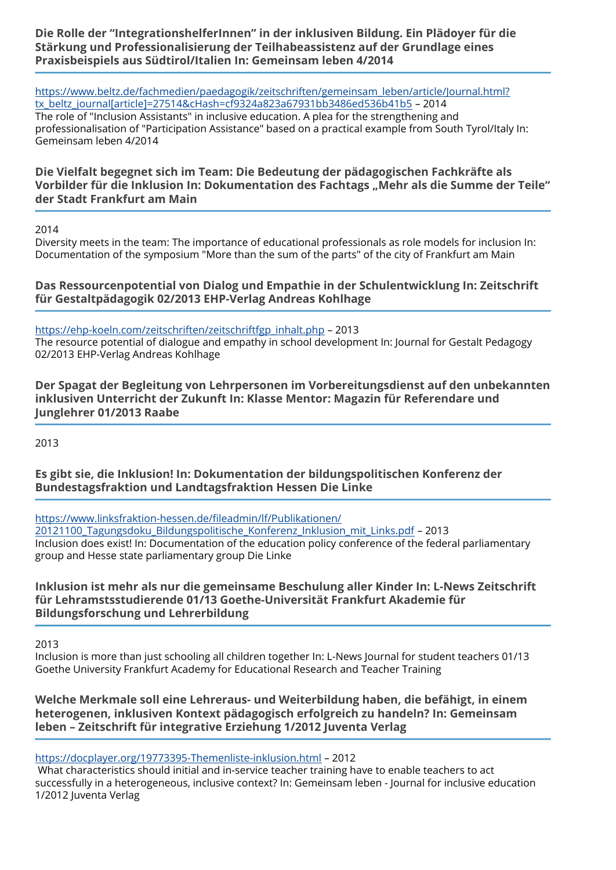**Die Rolle der "IntegrationshelferInnen" in der inklusiven Bildung. Ein Plädoyer für die Stärkung und Professionalisierung der Teilhabeassistenz auf der Grundlage eines Praxisbeispiels aus Südtirol/Italien In: Gemeinsam leben 4/2014** 

[https://www.beltz.de/fachmedien/paedagogik/zeitschriften/gemeinsam\\_leben/article/Journal.html?](https://www.beltz.de/fachmedien/paedagogik/zeitschriften/gemeinsam_leben/article/Journal.html?tx_beltz_journal%5Barticle%5D=27514&cHash=cf9324a823a67931bb3486ed536b41b5) [tx\\_beltz\\_journal\[article\]=27514&cHash=cf9324a823a67931bb3486ed536b41b5](https://www.beltz.de/fachmedien/paedagogik/zeitschriften/gemeinsam_leben/article/Journal.html?tx_beltz_journal%5Barticle%5D=27514&cHash=cf9324a823a67931bb3486ed536b41b5) – 2014 The role of "Inclusion Assistants" in inclusive education. A plea for the strengthening and professionalisation of "Participation Assistance" based on a practical example from South Tyrol/Italy In: Gemeinsam leben 4/2014

**Die Vielfalt begegnet sich im Team: Die Bedeutung der pädagogischen Fachkräfte als Vorbilder für die Inklusion In: Dokumentation des Fachtags "Mehr als die Summe der Teile" der Stadt Frankfurt am Main** 

2014

Diversity meets in the team: The importance of educational professionals as role models for inclusion In: Documentation of the symposium "More than the sum of the parts" of the city of Frankfurt am Main

**Das Ressourcenpotential von Dialog und Empathie in der Schulentwicklung In: Zeitschrift für Gestaltpädagogik 02/2013 EHP-Verlag Andreas Kohlhage** 

[https://ehp-koeln.com/zeitschriften/zeitschriftfgp\\_inhalt.php](https://ehp-koeln.com/zeitschriften/zeitschriftfgp_inhalt.php) – 2013

The resource potential of dialogue and empathy in school development In: Journal for Gestalt Pedagogy 02/2013 EHP-Verlag Andreas Kohlhage

**Der Spagat der Begleitung von Lehrpersonen im Vorbereitungsdienst auf den unbekannten inklusiven Unterricht der Zukunft In: Klasse Mentor: Magazin für Referendare und Junglehrer 01/2013 Raabe** 

2013

**Es gibt sie, die Inklusion! In: Dokumentation der bildungspolitischen Konferenz der Bundestagsfraktion und Landtagsfraktion Hessen Die Linke** 

[https://www.linksfraktion-hessen.de/](https://www.linksfraktion-hessen.de/fileadmin/lf/Publikationen/20121100_Tagungsdoku_Bildungspolitische_Konferenz_Inklusion_mit_Links.pdf)fileadmin/lf/Publikationen/ [20121100\\_Tagungsdoku\\_Bildungspolitische\\_Konferenz\\_Inklusion\\_mit\\_Links.pdf](https://www.linksfraktion-hessen.de/fileadmin/lf/Publikationen/20121100_Tagungsdoku_Bildungspolitische_Konferenz_Inklusion_mit_Links.pdf) – 2013 Inclusion does exist! In: Documentation of the education policy conference of the federal parliamentary group and Hesse state parliamentary group Die Linke

# **Inklusion ist mehr als nur die gemeinsame Beschulung aller Kinder In: L-News Zeitschrift für Lehramstsstudierende 01/13 Goethe-Universität Frankfurt Akademie für Bildungsforschung und Lehrerbildung**

2013

Inclusion is more than just schooling all children together In: L-News Journal for student teachers 01/13 Goethe University Frankfurt Academy for Educational Research and Teacher Training

**Welche Merkmale soll eine Lehreraus- und Weiterbildung haben, die befähigt, in einem heterogenen, inklusiven Kontext pädagogisch erfolgreich zu handeln? In: Gemeinsam leben – Zeitschrift für integrative Erziehung 1/2012 Juventa Verlag** 

<https://docplayer.org/19773395-Themenliste-inklusion.html>– 2012

What characteristics should initial and in-service teacher training have to enable teachers to act successfully in a heterogeneous, inclusive context? In: Gemeinsam leben - Journal for inclusive education 1/2012 Juventa Verlag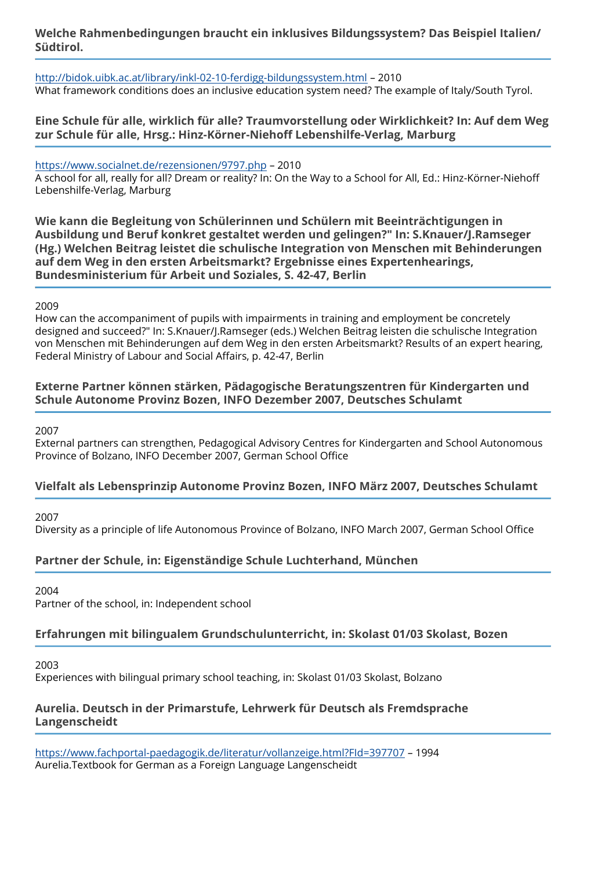## **Welche Rahmenbedingungen braucht ein inklusives Bildungssystem? Das Beispiel Italien/ Südtirol.**

<http://bidok.uibk.ac.at/library/inkl-02-10-ferdigg-bildungssystem.html> – 2010 What framework conditions does an inclusive education system need? The example of Italy/South Tyrol.

## **Eine Schule für alle, wirklich für alle? Traumvorstellung oder Wirklichkeit? In: Auf dem Weg zur Schule für alle, Hrsg.: Hinz-Körner-Niehoff Lebenshilfe-Verlag, Marburg**

<https://www.socialnet.de/rezensionen/9797.php> – 2010 A school for all, really for all? Dream or reality? In: On the Way to a School for All, Ed.: Hinz-Körner-Niehoff Lebenshilfe-Verlag, Marburg

**Wie kann die Begleitung von Schülerinnen und Schülern mit Beeinträchtigungen in Ausbildung und Beruf konkret gestaltet werden und gelingen?" In: S.Knauer/J.Ramseger (Hg.) Welchen Beitrag leistet die schulische Integration von Menschen mit Behinderungen auf dem Weg in den ersten Arbeitsmarkt? Ergebnisse eines Expertenhearings, Bundesministerium für Arbeit und Soziales, S. 42-47, Berlin** 

### 2009

How can the accompaniment of pupils with impairments in training and employment be concretely designed and succeed?" In: S.Knauer/J.Ramseger (eds.) Welchen Beitrag leisten die schulische Integration von Menschen mit Behinderungen auf dem Weg in den ersten Arbeitsmarkt? Results of an expert hearing, Federal Ministry of Labour and Social Affairs, p. 42-47, Berlin

## **Externe Partner können stärken, Pädagogische Beratungszentren für Kindergarten und Schule Autonome Provinz Bozen, INFO Dezember 2007, Deutsches Schulamt**

2007

External partners can strengthen, Pedagogical Advisory Centres for Kindergarten and School Autonomous Province of Bolzano, INFO December 2007, German School Office

# **Vielfalt als Lebensprinzip Autonome Provinz Bozen, INFO März 2007, Deutsches Schulamt**

2007

Diversity as a principle of life Autonomous Province of Bolzano, INFO March 2007, German School Office

# **Partner der Schule, in: Eigenständige Schule Luchterhand, München**

2004

Partner of the school, in: Independent school

## **Erfahrungen mit bilingualem Grundschulunterricht, in: Skolast 01/03 Skolast, Bozen**

2003

Experiences with bilingual primary school teaching, in: Skolast 01/03 Skolast, Bolzano

## **Aurelia. Deutsch in der Primarstufe, Lehrwerk für Deutsch als Fremdsprache Langenscheidt**

<https://www.fachportal-paedagogik.de/literatur/vollanzeige.html?FId=397707>– 1994 Aurelia.Textbook for German as a Foreign Language Langenscheidt